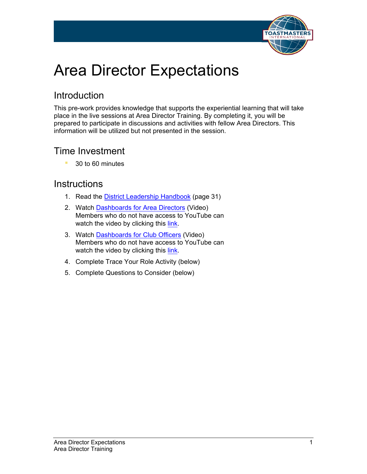

# Area Director Expectations

### Introduction

This pre-work provides knowledge that supports the experiential learning that will take place in the live sessions at Area Director Training. By completing it, you will be prepared to participate in discussions and activities with fellow Area Directors. This information will be utilized but not presented in the session.

### Time Investment

■ 30 to 60 minutes

#### **Instructions**

- 1. Read the [District Leadership Handbook](https://www.toastmasters.org/resources/district-leadership-handbook) (page 31)
- 2. Watch [Dashboards for Area Directors](https://www.youtube.com/watch?v=70xsbiL9Cz4) (Video) Members who do not have access to YouTube can watch the video by clicking this [link](http://www.toastmasters.org/Video/Dashboards-for-Area-Directors.html).
- 3. Watch [Dashboards](https://www.youtube.com/watch?v=9tzXKB2cNas) for Club Officers (Video) Members who do not have access to YouTube can watch the video by clicking this [link](http://www.toastmasters.org/Video/Dashboards-for-Club-Officers.html).
- 4. Complete Trace Your Role Activity (below)
- 5. Complete Questions to Consider (below)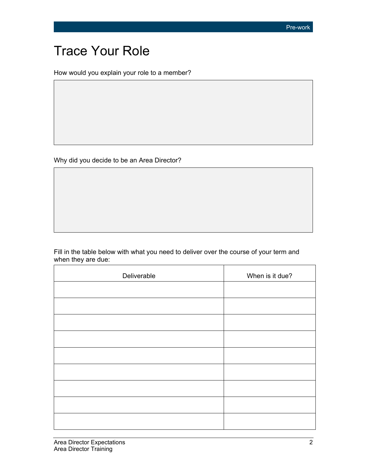# Trace Your Role

How would you explain your role to a member?

Why did you decide to be an Area Director?

Fill in the table below with what you need to deliver over the course of your term and when they are due:

| Deliverable | When is it due? |
|-------------|-----------------|
|             |                 |
|             |                 |
|             |                 |
|             |                 |
|             |                 |
|             |                 |
|             |                 |
|             |                 |
|             |                 |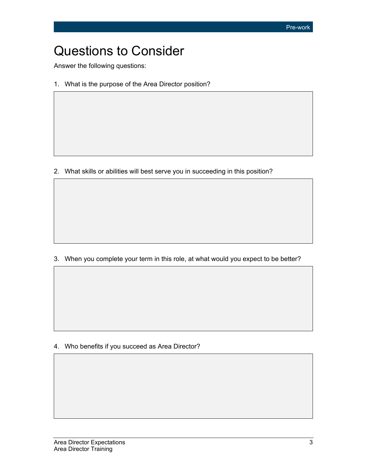## Questions to Consider

Answer the following questions:

1. What is the purpose of the Area Director position?

2. What skills or abilities will best serve you in succeeding in this position?

3. When you complete your term in this role, at what would you expect to be better?

4. Who benefits if you succeed as Area Director?